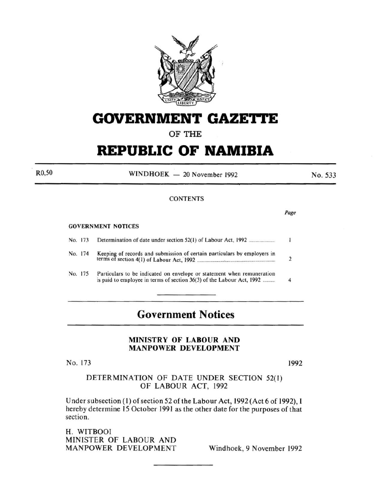

# **GOVERNMENT GAZETTE**

## OF THE

# **REPUBLIC OF NAMIBIA**

 $WINDHOEK - 20 November 1992$ 

No. 533

#### **CONTENTS**

**GOVERNMENT NOTICES** 

R0,50

| No. 173 |                                                                                                                                                 |  |
|---------|-------------------------------------------------------------------------------------------------------------------------------------------------|--|
| No. 174 | Keeping of records and submission of certain particulars by employers in                                                                        |  |
| No. 175 | Particulars to be indicated on envelope or statement when remuneration<br>is paid to employee in terms of section 36(3) of the Labour Act, 1992 |  |

# **Government Notices**

#### MINISTRY OF LABOUR AND MANPOWER DEVELOPMENT

No. 173

1992

DETERMINATION OF DATE UNDER SECTION 52(1) OF LABOUR ACT, 1992

Under subsection (1) of section 52 of the Labour Act, 1992 (Act 6 of 1992), I hereby determine 15 October 1991 as the other date for the purposes of that section.

H. WITBOOI MINISTER OF LABOUR AND MANPOWER DEVELOPMENT Windhoek, 9 November 1992

Page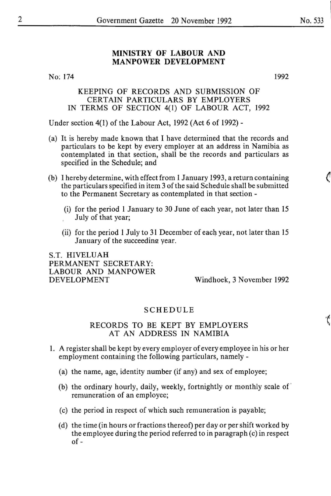### **MINISTRY OF LABOUR AND MANPOWER DEVELOPMENT**

No: 174

1992

#### KEEPING OF RECORDS AND SUBMISSION OF CERTAIN PARTICULARS BY EMPLOYERS IN TERMS OF SECTION 4(1) OF LABOUR ACT, 1992

Under section 4(1) of the Labour Act, 1992 (Act 6 of 1992)-

- (a) It is hereby made known that I have determined that the records and particulars to be kept by every employer at an address in Namibia as contemplated in that section, shall be the records and particulars as specified in the Schedule; and
- (b) I hereby determine, with effect from 1 January 1993, a return containing the particulars specified in item 3 of the said Schedule shall be submitted to the Permanent Secretary as contemplated in that section -
	- (i) for the period **1** January to 30 June of each year, not later than 15 July of that year;
	- (ii) for the period 1 July to 31 December of each year, not later than 15 January of the succeedine year.

S.T. HIVELUAH PERMANENT SECRETARY: LABOUR AND MANPOWER DEVELOPMENT

Windhoek, 3 November 1992

### SCHEDULE

#### RECORDS TO BE KEPT BY EMPLOYERS AT AN ADDRESS IN NAMIBIA

- 1. A register shall be kept by every employer of every employee in his or her employment containing the following particulars, namely -
	- (a) the name, age, identity number (if any) and sex of employee;
	- (b) the ordinary hourly, daily, weekly, fortnightly or monthly scale of · remuneration of an employee;
	- (c) the period in respect of which such remuneration is payable;
	- (d) the time (in hours or fractions thereof) per day or per shift worked by the employee during the period referred to in paragraph (c) in respect of-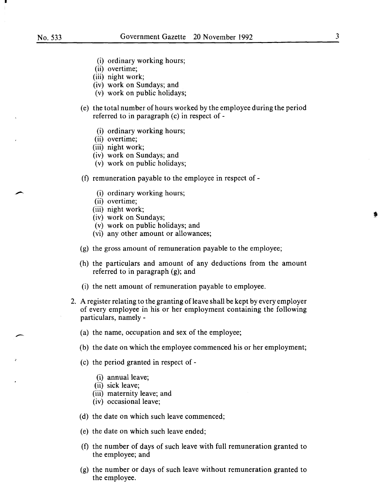.

- (i) ordinary working hours;
- (ii) overtime;
- (iii) night work;
- (iv) work on Sundays; and
- (v) work on public holidays;
- (e) the total number of hours worked by the employee during the period referred to in paragraph (c) in respect of -
	- (i) ordinary working hours;
	- (ii) overtime;
	- (iii) night work;
	- (iv) work on Sundays; and
	- (v) work on public holidays;
- (f) remuneration payable to the employee in respect of-
	- (i) ordinary working hours;
	- (ii) overtime;
	- (iii) night work;
	- (iv) work on Sundays;
	- (v) work on public holidays; and
	- (vi) any other amount or allowances;
- (g) the gross amount of remuneration payable to the employee;
- (h) the particulars and amount of any deductions from the amount referred to in paragraph (g); and
- (i) the nett amount of remuneration payable to employee.
- 2. A register relating to the granting of leave shall be kept by every employer of every employee in his or her employment containing the following particulars, namely -
	- (a) the name, occupation and sex of the employee;
	- (b) the date on which the employee commenced his or her employment;
	- (c) the period granted in respect of
		- (i) annual leave;
		- (ii) sick leave;
		- (iii) maternity leave; and
		- (iv) occasional leave;
	- (d) the date on which such leave commenced;
	- (e) the date on which such leave ended;
	- (f) the number of days of such leave with full remuneration granted to the employee; and
	- (g) the number or days of such leave without remuneration granted to the employee.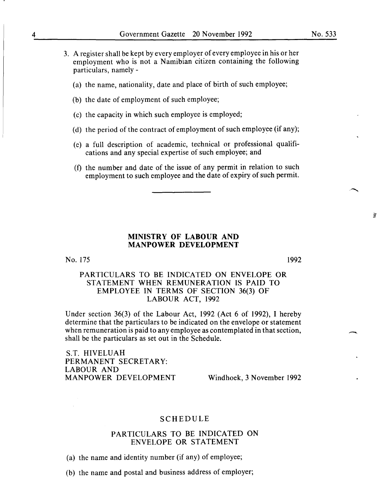- 3. A register shall be kept by every employer of every employee in his or her employment who is not a Namibian citizen containing the following particulars, namely -
	- (a) the name, nationality, date and place of birth of such employee;
	- (b) the date of employment of such employee;
	- (c) the capacity in which such employee is employed;
	- (d) the period of the contract of employment of such employee (if any);
	- (e) a full description of academic, technical or professional qualifications and any special expertise of such employee; and
	- (f) the number and date of the issue of any permit in relation to such employment to such employee and the date of expiry of such permit.

#### **MINISTRY OF LABOUR AND MANPOWER DEVELOPMENT**

#### No. 175

#### PARTICULARS TO BE INDICATED ON ENVELOPE OR STATEMENT WHEN REMUNERATION IS PAID TO EMPLOYEE IN TERMS OF SECTION 36(3) OF LABOUR ACT, 1992

Under section 36(3) of the Labour Act, 1992 (Act 6 of 1992), I hereby determine that the particulars to be indicated on the envelope or statement when remuneration is paid to any employee as contemplated in that section, shall be the particulars as set out in the Schedule.

S.T. HIVELUAH PERMANENT SECRETARY: LABOUR AND MANPOWER DEVELOPMENT Windhoek, 3 November 1992

1992

#### SCHEDULE

### PARTICULARS TO BE INDICATED ON ENVELOPE OR STATEMENT

- (a) the name and identity number (if any) of employee;
- (b) the name and postal and business address of employer;

薹